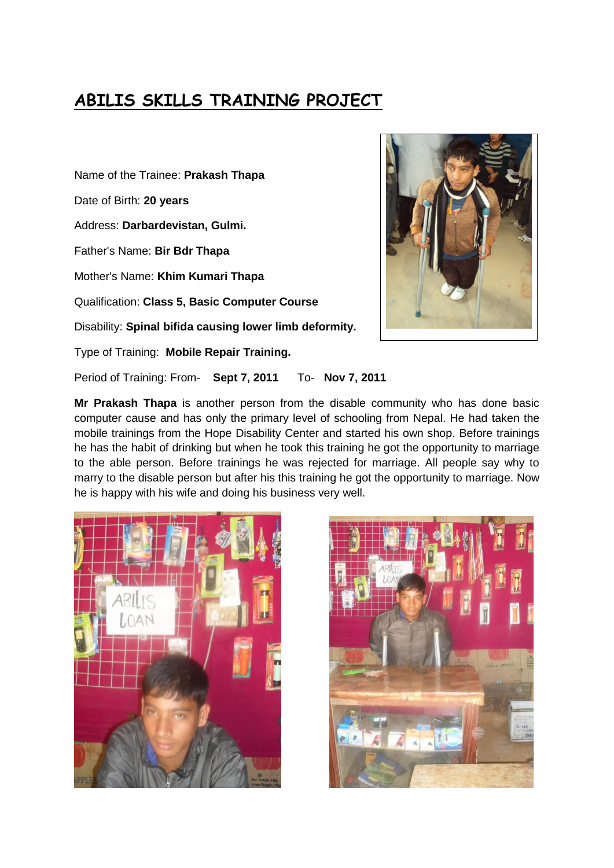# **ABILIS SKILLS TRAINING PROJECT**

Name of the Trainee: **Prakash Thapa** Date of Birth: **20 years** Address: **Darbardevistan, Gulmi.** Father's Name: **Bir Bdr Thapa** Mother's Name: **Khim Kumari Thapa** Qualification: **Class 5, Basic Computer Course** Disability: **Spinal bifida causing lower limb deformity.** Type of Training: **Mobile Repair Training.**



Period of Training: From- **Sept 7, 2011** To- **Nov 7, 2011**

**Mr Prakash Thapa** is another person from the disable community who has done basic computer cause and has only the primary level of schooling from Nepal. He had taken the mobile trainings from the Hope Disability Center and started his own shop. Before trainings he has the habit of drinking but when he took this training he got the opportunity to marriage to the able person. Before trainings he was rejected for marriage. All people say why to marry to the disable person but after his this training he got the opportunity to marriage. Now he is happy with his wife and doing his business very well.



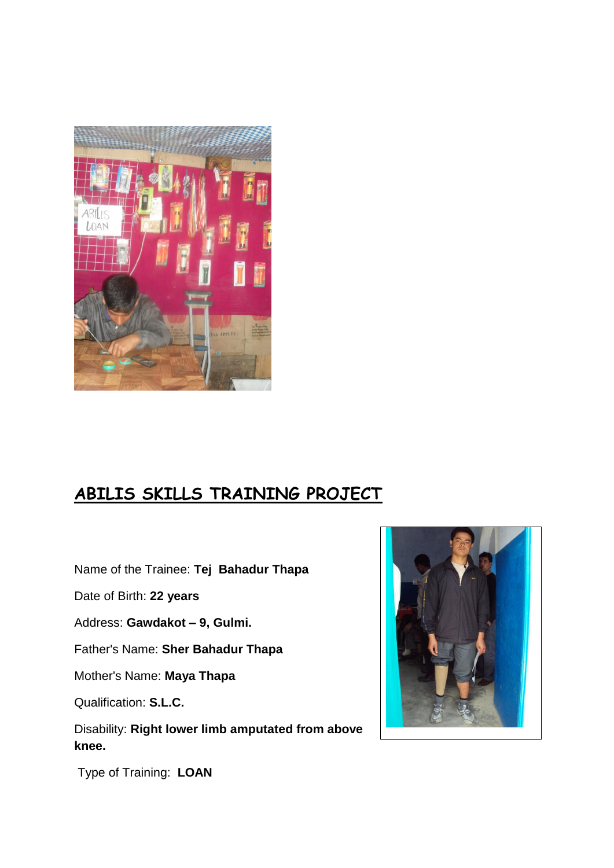

# **ABILIS SKILLS TRAINING PROJECT**

Name of the Trainee: **Tej Bahadur Thapa**

Date of Birth: **22 years**

Address: **Gawdakot – 9, Gulmi.**

Father's Name: **Sher Bahadur Thapa**

Mother's Name: **Maya Thapa**

Qualification: **S.L.C.**

Disability: **Right lower limb amputated from above knee.**



Type of Training: **LOAN**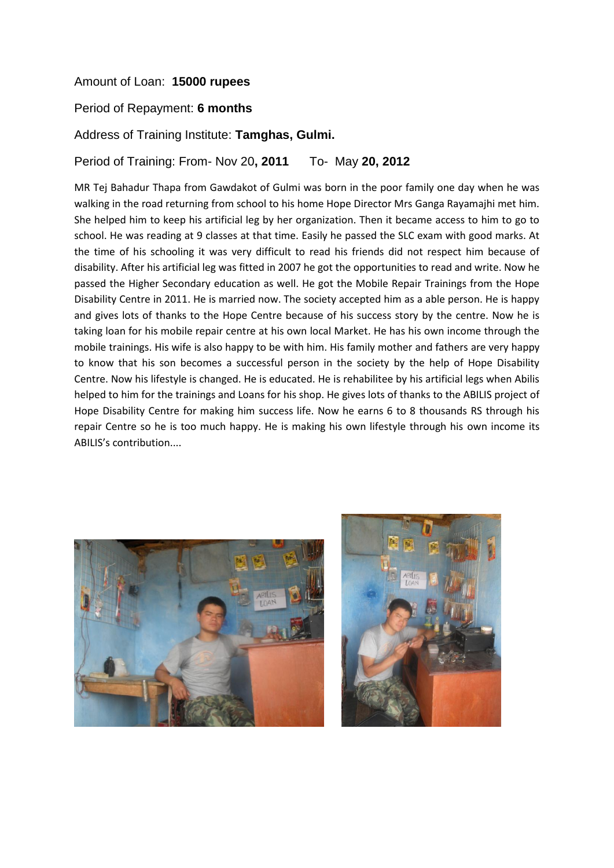### Amount of Loan: **15000 rupees**

#### Period of Repayment: **6 months**

#### Address of Training Institute: **Tamghas, Gulmi.**

Period of Training: From- Nov 20**, 2011** To- May **20, 2012**

MR Tej Bahadur Thapa from Gawdakot of Gulmi was born in the poor family one day when he was walking in the road returning from school to his home Hope Director Mrs Ganga Rayamajhi met him. She helped him to keep his artificial leg by her organization. Then it became access to him to go to school. He was reading at 9 classes at that time. Easily he passed the SLC exam with good marks. At the time of his schooling it was very difficult to read his friends did not respect him because of disability. After his artificial leg was fitted in 2007 he got the opportunities to read and write. Now he passed the Higher Secondary education as well. He got the Mobile Repair Trainings from the Hope Disability Centre in 2011. He is married now. The society accepted him as a able person. He is happy and gives lots of thanks to the Hope Centre because of his success story by the centre. Now he is taking loan for his mobile repair centre at his own local Market. He has his own income through the mobile trainings. His wife is also happy to be with him. His family mother and fathers are very happy to know that his son becomes a successful person in the society by the help of Hope Disability Centre. Now his lifestyle is changed. He is educated. He is rehabilitee by his artificial legs when Abilis helped to him for the trainings and Loans for his shop. He gives lots of thanks to the ABILIS project of Hope Disability Centre for making him success life. Now he earns 6 to 8 thousands RS through his repair Centre so he is too much happy. He is making his own lifestyle through his own income its ABILIS's contribution....



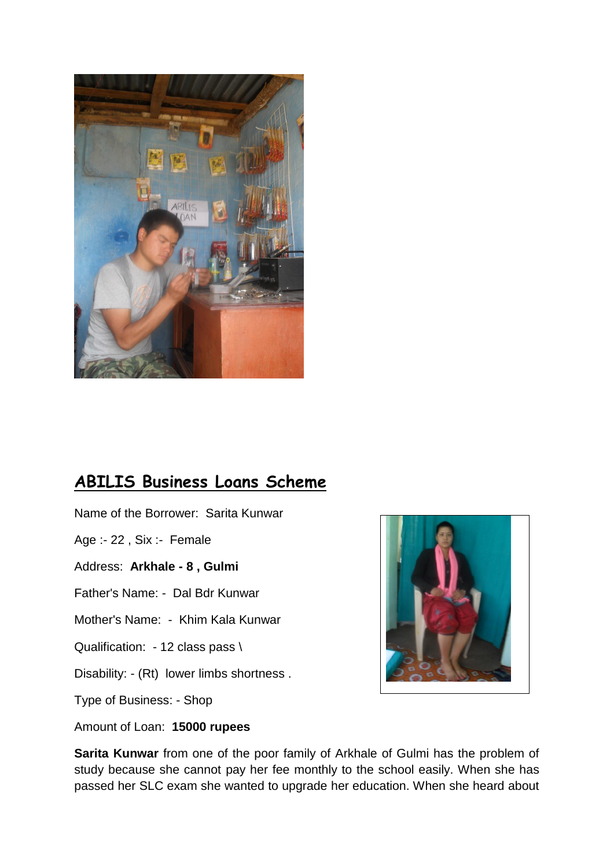

### **ABILIS Business Loans Scheme**

Name of the Borrower: Sarita Kunwar

Age :- 22 , Six :- Female

Address: **Arkhale - 8 , Gulmi**

Father's Name: - Dal Bdr Kunwar

Mother's Name: - Khim Kala Kunwar

Qualification: - 12 class pass \

Disability: - (Rt) lower limbs shortness .

Type of Business: - Shop

Amount of Loan: **15000 rupees**



**Sarita Kunwar** from one of the poor family of Arkhale of Gulmi has the problem of study because she cannot pay her fee monthly to the school easily. When she has passed her SLC exam she wanted to upgrade her education. When she heard about